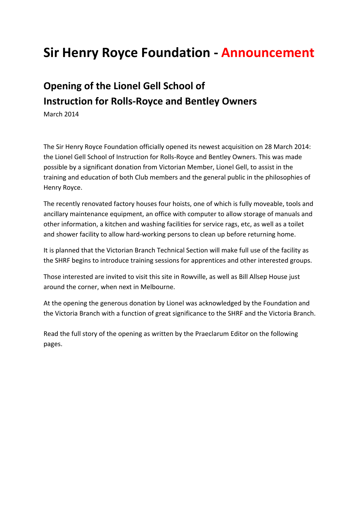## **Sir Henry Royce Foundation ‐ Announcement**

## **Opening of the Lionel Gell School of Instruction for Rolls‐Royce and Bentley Owners**

March 2014

The Sir Henry Royce Foundation officially opened its newest acquisition on 28 March 2014: the Lionel Gell School of Instruction for Rolls‐Royce and Bentley Owners. This was made possible by a significant donation from Victorian Member, Lionel Gell, to assist in the training and education of both Club members and the general public in the philosophies of Henry Royce.

The recently renovated factory houses four hoists, one of which is fully moveable, tools and ancillary maintenance equipment, an office with computer to allow storage of manuals and other information, a kitchen and washing facilities for service rags, etc, as well as a toilet and shower facility to allow hard‐working persons to clean up before returning home.

It is planned that the Victorian Branch Technical Section will make full use of the facility as the SHRF begins to introduce training sessions for apprentices and other interested groups.

Those interested are invited to visit this site in Rowville, as well as Bill Allsep House just around the corner, when next in Melbourne.

At the opening the generous donation by Lionel was acknowledged by the Foundation and the Victoria Branch with a function of great significance to the SHRF and the Victoria Branch.

Read the full story of the opening as written by the Praeclarum Editor on the following pages.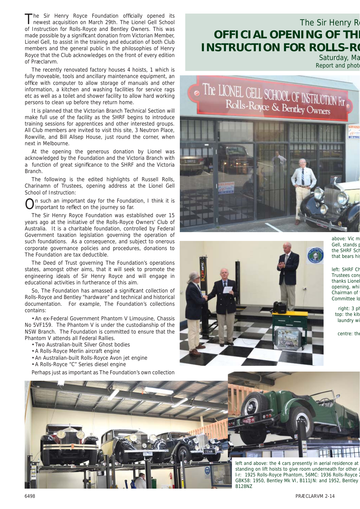The Sir Henry Royce Foundation officially opened its newest acquisition on March 29th. The Lionel Gell School of Instruction for Rolls-Royce and Bentley Owners. This was made possible by a significant donation from Victorian Member, Lionel Gell, to assist in the training and education of both Club members and the general public in the philosophies of Henry Royce that the Club acknowledges on the front of every edition of Præclarvm.

The recently renovated factory houses 4 hoists, 1 which is fully moveable, tools and ancillary maintenance equipment, an office with computer to allow storage of manuals and other information, a kitchen and washing facilities for service rags etc as well as a toilet and shower facility to allow hard working persons to clean up before they return home.

It is planned that the Victorian Branch Technical Section will make full use of the facility as the SHRF begins to introduce training sessions for apprentices and other interested groups. All Club members are invited to visit this site, 3 Neutron Place, Rowville, and Bill Allsep House, just round the corner, when next in Melbourne.

At the opening the generous donation by Lionel was acknowledged by the Foundation and the Victoria Branch with a function of great significance to the SHRF and the Victoria **Branch** 

The following is the edited highlights of Russell Rolls, Charinamn of Trustees, opening address at the Lionel Gell School of Instruction:

 $\bigcap$ n such an important day for the Foundation, I think it is important to reflect on the journey so far.

The Sir Henry Royce Foundation was established over 15 years ago at the initiative of the Rolls-Royce Owners' Club of Australia. It is a charitable foundation, controlled by Federal Government taxation legislation governing the operation of such foundations. As a consequence, and subject to onerous corporate governance policies and procedures, donations to The Foundation are tax deductible.

The Deed of Trust governing The Foundation's operations states, amongst other aims, that it will seek to promote the engineering ideals of Sir Henry Royce and will engage in educational activities in furtherance of this aim.

So, The Foundation has amassed a significant collection of Rolls-Royce and Bentley "hardware" and technical and historical documentation. For example, The Foundation's collections contains:

• An ex-Federal Government Phantom V Limousine, Chassis No 5VF159. The Phantom V is under the custodianship of the NSW Branch. The Foundation is committed to ensure that the Phantom V attends all Federal Rallies.

• Two Australian-built Silver Ghost bodies

- A Rolls-Royce Merlin aircraft engine
- An Australian-built Rolls-Royce Avon jet engine
- A Rolls-Royce "C" Series diesel engine

Perhaps just as important as The Foundation's own collection

## The Sir Henry R **OFFICIAL OPENING OF THE INSTRUCTION FOR ROLLS-RO**

Saturday, Ma Report and phot





above: Vic m Gell, stands p the SHRF Sci that bears hi

left: SHRF Ch Trustees cong thanks Lione opening, whi Chairman of Committee Io

> $right: 3$  pl top: the kit laundry w

centre: the